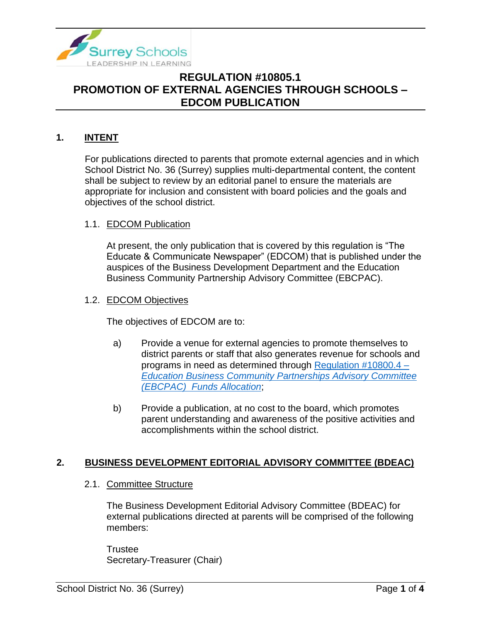

## **1. INTENT**

For publications directed to parents that promote external agencies and in which School District No. 36 (Surrey) supplies multi-departmental content, the content shall be subject to review by an editorial panel to ensure the materials are appropriate for inclusion and consistent with board policies and the goals and objectives of the school district.

## 1.1. EDCOM Publication

At present, the only publication that is covered by this regulation is "The Educate & Communicate Newspaper" (EDCOM) that is published under the auspices of the Business Development Department and the Education Business Community Partnership Advisory Committee (EBCPAC).

### 1.2. EDCOM Objectives

The objectives of EDCOM are to:

- a) Provide a venue for external agencies to promote themselves to district parents or staff that also generates revenue for schools and programs in need as determined through [Regulation #10800.4 –](https://www.surreyschools.ca/departments/SECT/PoliciesRegulations/section_10000/Documents/10800.4%20Regulation.pdf) *[Education Business Community Partnerships Advisory Committee](https://www.surreyschools.ca/departments/SECT/PoliciesRegulations/section_10000/Documents/10800.4%20Regulation.pdf)  [\(EBCPAC\) Funds Allocation](https://www.surreyschools.ca/departments/SECT/PoliciesRegulations/section_10000/Documents/10800.4%20Regulation.pdf)*;
- b) Provide a publication, at no cost to the board, which promotes parent understanding and awareness of the positive activities and accomplishments within the school district.

## **2. BUSINESS DEVELOPMENT EDITORIAL ADVISORY COMMITTEE (BDEAC)**

### 2.1. Committee Structure

The Business Development Editorial Advisory Committee (BDEAC) for external publications directed at parents will be comprised of the following members:

**Trustee** Secretary-Treasurer (Chair)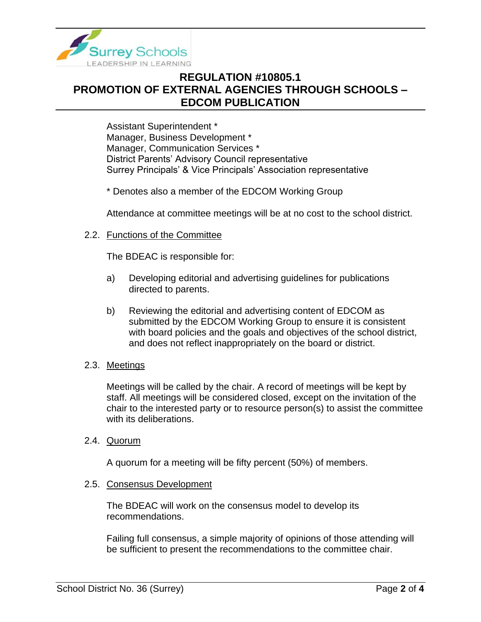

Assistant Superintendent \* Manager, Business Development \* Manager, Communication Services \* District Parents' Advisory Council representative Surrey Principals' & Vice Principals' Association representative

\* Denotes also a member of the EDCOM Working Group

Attendance at committee meetings will be at no cost to the school district.

### 2.2. Functions of the Committee

The BDEAC is responsible for:

- a) Developing editorial and advertising guidelines for publications directed to parents.
- b) Reviewing the editorial and advertising content of EDCOM as submitted by the EDCOM Working Group to ensure it is consistent with board policies and the goals and objectives of the school district, and does not reflect inappropriately on the board or district.

#### 2.3. Meetings

Meetings will be called by the chair. A record of meetings will be kept by staff. All meetings will be considered closed, except on the invitation of the chair to the interested party or to resource person(s) to assist the committee with its deliberations.

2.4. Quorum

A quorum for a meeting will be fifty percent (50%) of members.

#### 2.5. Consensus Development

The BDEAC will work on the consensus model to develop its recommendations.

Failing full consensus, a simple majority of opinions of those attending will be sufficient to present the recommendations to the committee chair.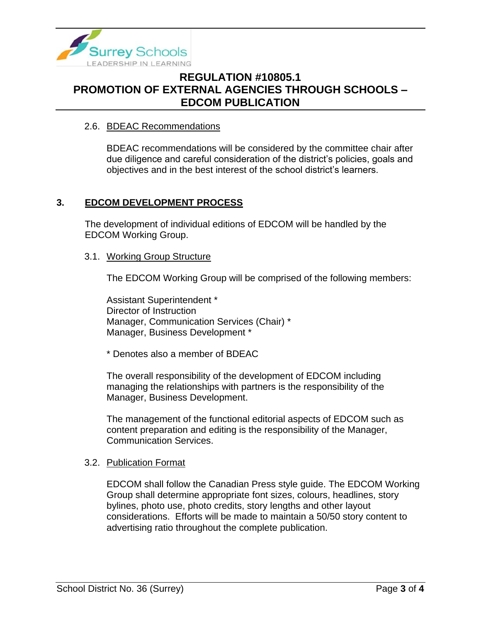

### 2.6. BDEAC Recommendations

BDEAC recommendations will be considered by the committee chair after due diligence and careful consideration of the district's policies, goals and objectives and in the best interest of the school district's learners.

## **3. EDCOM DEVELOPMENT PROCESS**

The development of individual editions of EDCOM will be handled by the EDCOM Working Group.

### 3.1. Working Group Structure

The EDCOM Working Group will be comprised of the following members:

Assistant Superintendent \* Director of Instruction Manager, Communication Services (Chair) \* Manager, Business Development \*

\* Denotes also a member of BDEAC

The overall responsibility of the development of EDCOM including managing the relationships with partners is the responsibility of the Manager, Business Development.

The management of the functional editorial aspects of EDCOM such as content preparation and editing is the responsibility of the Manager, Communication Services.

#### 3.2. Publication Format

EDCOM shall follow the Canadian Press style guide. The EDCOM Working Group shall determine appropriate font sizes, colours, headlines, story bylines, photo use, photo credits, story lengths and other layout considerations. Efforts will be made to maintain a 50/50 story content to advertising ratio throughout the complete publication.